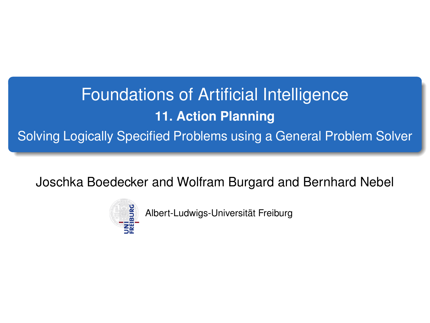# <span id="page-0-0"></span>Foundations of Artificial Intelligence **11. Action Planning** Solving Logically Specified Problems using a General Problem Solver

Joschka Boedecker and Wolfram Burgard and Bernhard Nebel



Albert-Ludwigs-Universität Freiburg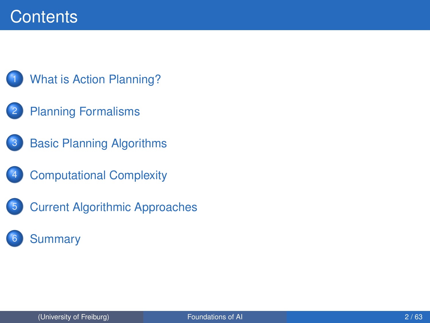### **Contents**



- **[Planning Formalisms](#page-6-0)**
- **[Basic Planning Algorithms](#page-17-0)**
- **[Computational Complexity](#page-24-0)**
- **[Current Algorithmic Approaches](#page-30-0)**
- **[Summary](#page-61-0)**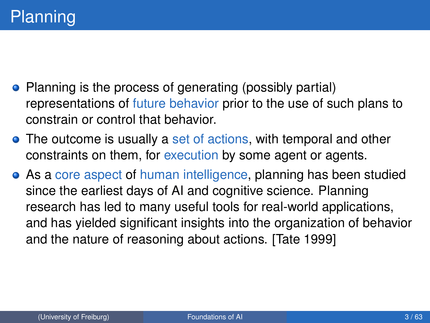- <span id="page-2-0"></span>• Planning is the process of generating (possibly partial) representations of future behavior prior to the use of such plans to constrain or control that behavior.
- The outcome is usually a set of actions, with temporal and other constraints on them, for execution by some agent or agents.
- As a core aspect of human intelligence, planning has been studied since the earliest days of AI and cognitive science. Planning research has led to many useful tools for real-world applications, and has yielded significant insights into the organization of behavior and the nature of reasoning about actions. [Tate 1999]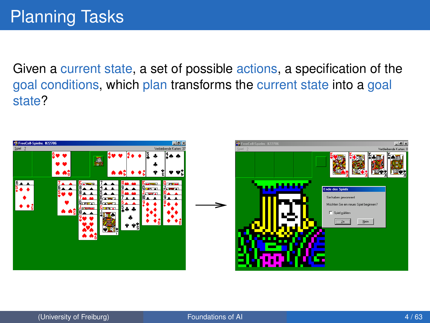Given a current state, a set of possible actions, a specification of the goal conditions, which plan transforms the current state into a goal state?

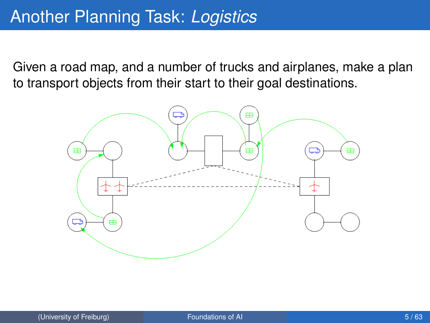Given a road map, and a number of trucks and airplanes, make a plan to transport objects from their start to their goal destinations.

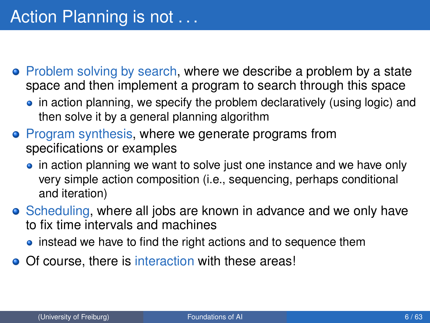- Problem solving by search, where we describe a problem by a state space and then implement a program to search through this space
	- in action planning, we specify the problem declaratively (using logic) and then solve it by a general planning algorithm
- Program synthesis, where we generate programs from specifications or examples
	- in action planning we want to solve just one instance and we have only very simple action composition (i.e., sequencing, perhaps conditional and iteration)
- Scheduling, where all jobs are known in advance and we only have to fix time intervals and machines
	- instead we have to find the right actions and to sequence them
- Of course, there is interaction with these areas!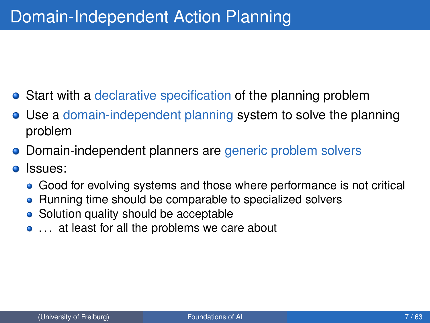- <span id="page-6-0"></span>**•** Start with a declarative specification of the planning problem
- Use a domain-independent planning system to solve the planning problem
- Domain-independent planners are generic problem solvers
- Issues:  $\bullet$ 
	- Good for evolving systems and those where performance is not critical
	- Running time should be comparable to specialized solvers
	- Solution quality should be acceptable
	- ... at least for all the problems we care about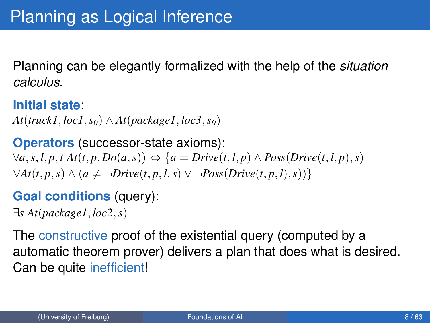Planning can be elegantly formalized with the help of the *situation calculus*.

**Initial state**:

 $At(truck1, loc1, s_0) \wedge At(package1, loc3, s_0)$ 

**Operators** (successor-state axioms):  $\forall a, s, l, p, t \text{ } At(t, p, Do(a, s)) \Leftrightarrow \{a = Drive(t, l, p) \land Poss(Drive(t, l, p), s)\}$  $\forall$ *At*(*t*, *p*, *s*) ∧ (*a*  $\neq \neg Drive(t, p, l, s) \vee \neg Poss(Drive(t, p, l), s))$ }

### **Goal conditions** (query):

∃*s At*(*package1*, *loc2*,*s*)

The constructive proof of the existential query (computed by a automatic theorem prover) delivers a plan that does what is desired. Can be quite inefficient!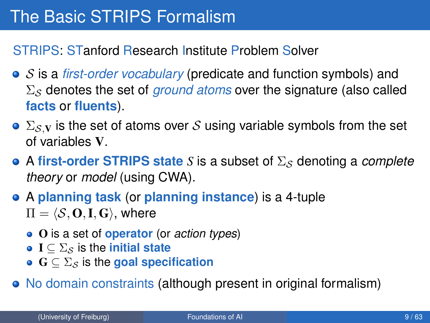STRIPS: STanford Research Institute Problem Solver

- S is a *first-order vocabulary* (predicate and function symbols) and  $\Sigma<sub>S</sub>$  denotes the set of *ground atoms* over the signature (also called **facts** or **fluents**).
- $\bullet \Sigma_S$  is the set of atoms over S using variable symbols from the set of variables V.
- A first-order STRIPS state *S* is a subset of  $\Sigma_{\mathcal{S}}$  denoting a *complete theory* or *model* (using CWA).
- A **planning task** (or **planning instance**) is a 4-tuple  $\Pi = \langle S, \mathbf{O}, \mathbf{I}, \mathbf{G} \rangle$ , where
	- O is a set of **operator** (or *action types*)
	- $\bullet$  **I**  $\subseteq$   $\Sigma$ <sub>S</sub> is the **initial state**
	- $\bullet$   $\mathbf{G} \subseteq \Sigma_S$  is the **goal specification**
- No domain constraints (although present in original formalism)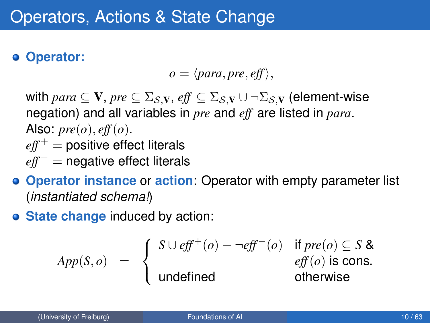#### **Operator:**

$$
o = \langle para, pre, eff \rangle,
$$

with  $para \subseteq V$ ,  $pre \subseteq \Sigma_{\mathcal{S},V}$ ,  $eff \subseteq \Sigma_{\mathcal{S},V} \cup \neg \Sigma_{\mathcal{S},V}$  (element-wise negation) and all variables in *pre* and *eff* are listed in *para*. Also:  $pre(o), eff(o)$ .  $eff<sup>+</sup>$  = positive effect literals *eff*<sup>−</sup> = negative effect literals

- **Operator instance** or **action**: Operator with empty parameter list (*instantiated schema!*)
- **State change** induced by action:

$$
App(S, o) = \begin{cases} S \cup eff^{+}(o) - \neg eff^{-}(o) & \text{if } pre(o) \subseteq S \& \text{if } \text{inf}(o) \text{ is cons.} \\ \text{undefined} & \text{otherwise} \end{cases}
$$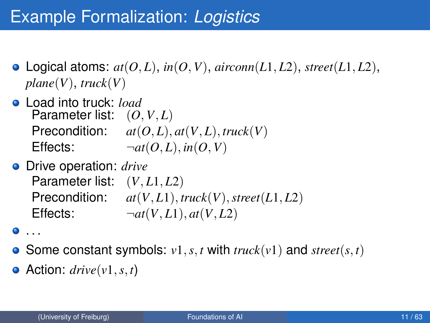### Example Formalization: *Logistics*

- Logical atoms:  $at(0, L)$ ,  $in(0, V)$ ,  $airconn(L1, L2)$ ,  $street(L1, L2)$ , *plane*(*V*), *truck*(*V*)
- Load into truck: *load* Parameter list: (*O*, *V*, *L*) Precondition:  $at(O, L), at(V, L), true k(V)$ Effects:  $\neg at(0, L), \text{in}(0, V)$
- Drive operation: *drive* Parameter list: (*V*, *L*1, *L*2) Precondition:  $at(V, L1), \text{true}(V), \text{street}(L1, L2)$ Effects:  $\neg at(V, L1), at(V, L2)$

 $\bullet$  . . .

- Some constant symbols:  $v1, s, t$  with  $truck(v1)$  and  $street(s, t)$
- $\bullet$  Action: *drive*(*v*1, *s*, *t*)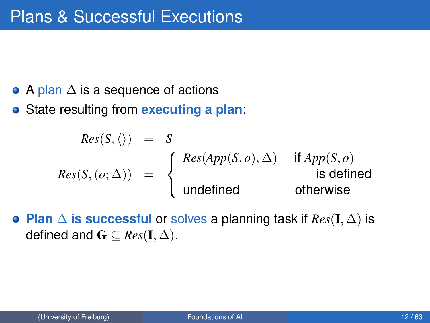- $\bullet$  A plan  $\Delta$  is a sequence of actions
- State resulting from **executing a plan**:

$$
Res(S, \langle \rangle) = S
$$
  

$$
Res(S, (o; \Delta)) = \begin{cases} Res(App(S, o), \Delta) & \text{if } App(S, o) \\ \text{undefined} & \text{is defined} \end{cases}
$$

**Plan** ∆ **is successful** or solves a planning task if *Res*(I, ∆) is defined and  $\mathbf{G} \subseteq Res(\mathbf{I}, \Delta)$ .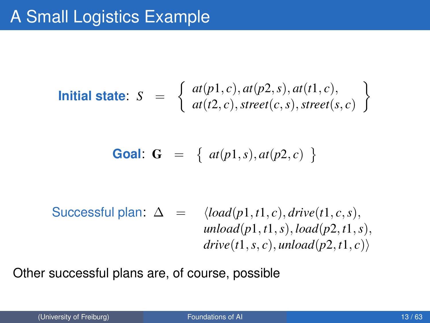**Initial state:** 
$$
S = \begin{cases} at(p1, c), at(p2, s), at(t1, c), \\ at(t2, c), street(c, s), street(s, c) \end{cases}
$$

**Goal: G** = { 
$$
at(p1, s), at(p2, c)
$$
 }

$$
\begin{array}{rcl}\n\text{Successful plan:} & \Delta & = & \langle load(p1, t1, c), drive(t1, c, s), \\
& unload(p1, t1, s), load(p2, t1, s), \\
& drive(t1, s, c), unload(p2, t1, c)\n\end{array}
$$

Other successful plans are, of course, possible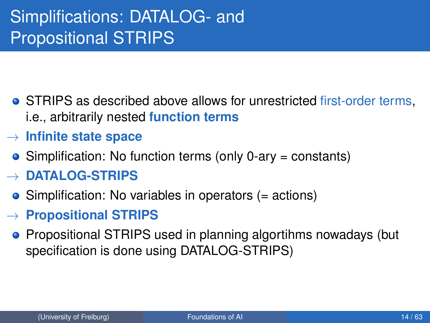# Simplifications: DATALOG- and Propositional STRIPS

- **STRIPS as described above allows for unrestricted first-order terms,** i.e., arbitrarily nested **function terms**
- → **Infinite state space**
	- Simplification: No function terms (only 0-ary = constants)
- → **DATALOG-STRIPS**
	- Simplification: No variables in operators (= actions)
- → **Propositional STRIPS**
	- **•** Propositional STRIPS used in planning algortihms nowadays (but specification is done using DATALOG-STRIPS)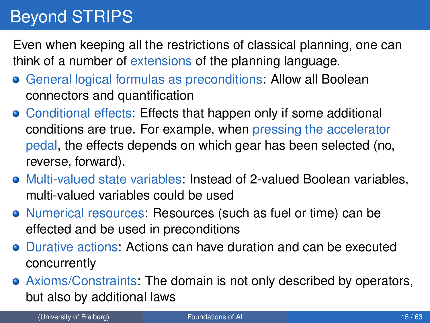# Beyond STRIPS

Even when keeping all the restrictions of classical planning, one can think of a number of extensions of the planning language.

- General logical formulas as preconditions: Allow all Boolean connectors and quantification
- Conditional effects: Effects that happen only if some additional conditions are true. For example, when pressing the accelerator pedal, the effects depends on which gear has been selected (no, reverse, forward).
- Multi-valued state variables: Instead of 2-valued Boolean variables, multi-valued variables could be used
- Numerical resources: Resources (such as fuel or time) can be effected and be used in preconditions
- Durative actions: Actions can have duration and can be executed concurrently
- Axioms/Constraints: The domain is not only described by operators, but also by additional laws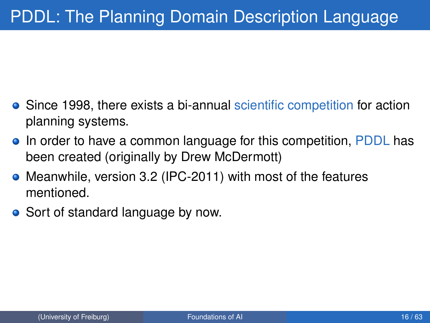- Since 1998, there exists a bi-annual scientific competition for action planning systems.
- In order to have a common language for this competition, PDDL has been created (originally by Drew McDermott)
- Meanwhile, version 3.2 (IPC-2011) with most of the features mentioned.
- Sort of standard language by now.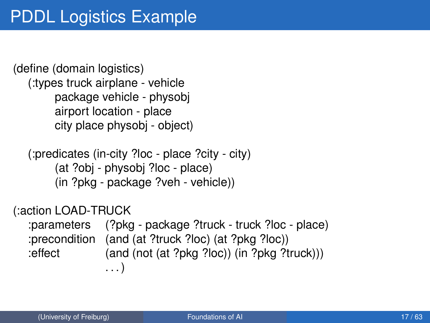(define (domain logistics) (:types truck airplane - vehicle package vehicle - physobj airport location - place city place physobj - object)

```
(:predicates (in-city ?loc - place ?city - city)
     (at ?obj - physobj ?loc - place)
     (in ?pkg - package ?veh - vehicle))
```
(:action LOAD-TRUCK

:parameters (?pkg - package ?truck - truck ?loc - place) :precondition (and (at ?truck ?loc) (at ?pkg ?loc)) :effect (and (not (at ?pkg ?loc)) (in ?pkg ?truck))) . . . )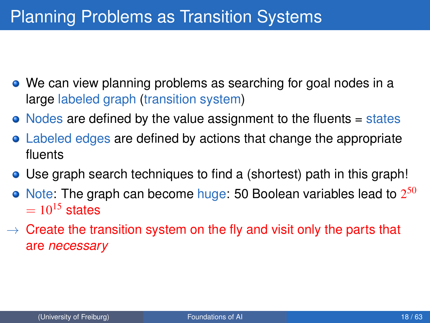## <span id="page-17-0"></span>Planning Problems as Transition Systems

- We can view planning problems as searching for goal nodes in a large labeled graph (transition system)
- Nodes are defined by the value assignment to the fluents = states
- Labeled edges are defined by actions that change the appropriate fluents
- Use graph search techniques to find a (shortest) path in this graph!
- Note: The graph can become huge: 50 Boolean variables lead to  $2^{50}$  $= 10^{15}$  states
- $\rightarrow$  Create the transition system on the fly and visit only the parts that are *necessary*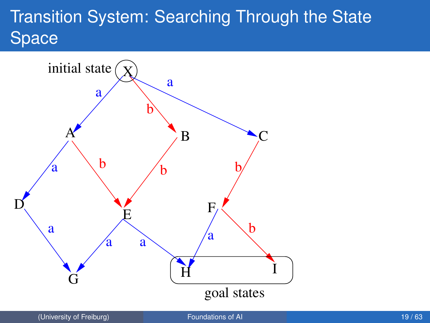# Transition System: Searching Through the State Space

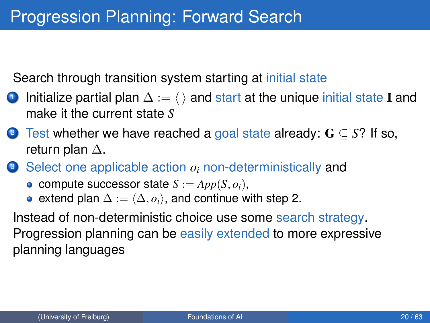Search through transition system starting at initial state

- **1** Initialize partial plan  $\Delta := \langle \rangle$  and start at the unique initial state I and make it the current state *S*
- <sup>2</sup> Test whether we have reached a goal state already: G ⊆ *S*? If so, return plan ∆.
- <sup>3</sup> Select one applicable action *o<sup>i</sup>* non-deterministically and
	- compute successor state  $S := App(S, o_i)$ ,
	- extend plan  $\Delta := \langle \Delta, o_i \rangle$ , and continue with step 2.

Instead of non-deterministic choice use some search strategy. Progression planning can be easily extended to more expressive planning languages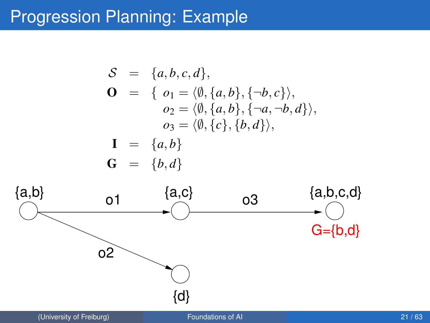### Progression Planning: Example

$$
\mathcal{S} = \{a, b, c, d\},
$$
\n
$$
\mathbf{O} = \{o_1 = \langle \emptyset, \{a, b\}, \{\neg b, c\} \rangle,
$$
\n
$$
o_2 = \langle \emptyset, \{a, b\}, \{\neg a, \neg b, d\} \rangle,
$$
\n
$$
o_3 = \langle \emptyset, \{c\}, \{b, d\} \rangle,
$$
\n
$$
\mathbf{I} = \{a, b\}
$$
\n
$$
\mathbf{G} = \{b, d\}
$$
\n
$$
\{a, b\}
$$
\n
$$
\mathbf{a} = \{a, b\}
$$
\n
$$
\{a, c\}
$$
\n
$$
\{a, b, c, d\}
$$

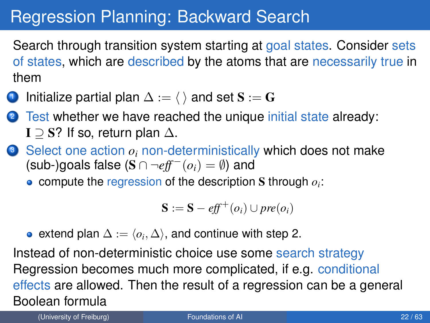### Regression Planning: Backward Search

Search through transition system starting at goal states. Consider sets of states, which are described by the atoms that are necessarily true in them

Initialize partial plan  $\Delta := \langle \ \rangle$  and set  $S := G$ 

Test whether we have reached the unique initial state already: I  $\supset$  S? If so, return plan  $\Delta$ .

- **3** Select one action  $o_i$  non-deterministically which does not make (sub-)goals false ( $S \cap \neg \text{eff}^-(o_i) = \emptyset$ ) and
	- compute the regression of the description S through *o<sup>i</sup>* :

$$
\mathbf{S} := \mathbf{S} - \mathit{eff}^+(o_i) \cup \mathit{pre}(o_i)
$$

extend plan  $\Delta := \langle o_i, \Delta \rangle,$  and continue with step 2.

Instead of non-deterministic choice use some search strategy Regression becomes much more complicated, if e.g. conditional effects are allowed. Then the result of a regression can be a general Boolean formula

(University of Freiburg) [Foundations of AI](#page-0-0) 22 / 63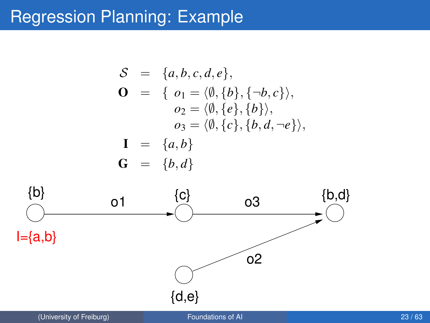### Regression Planning: Example

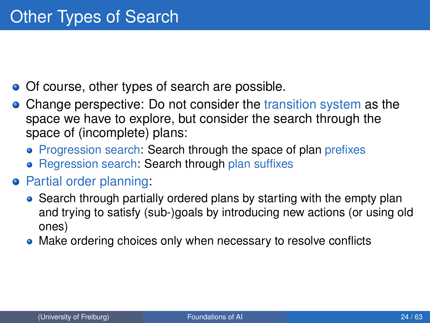- Of course, other types of search are possible.
- Change perspective: Do not consider the transition system as the space we have to explore, but consider the search through the space of (incomplete) plans:
	- Progression search: Search through the space of plan prefixes
	- Regression search: Search through plan suffixes
- **•** Partial order planning:
	- Search through partially ordered plans by starting with the empty plan and trying to satisfy (sub-)goals by introducing new actions (or using old ones)
	- Make ordering choices only when necessary to resolve conflicts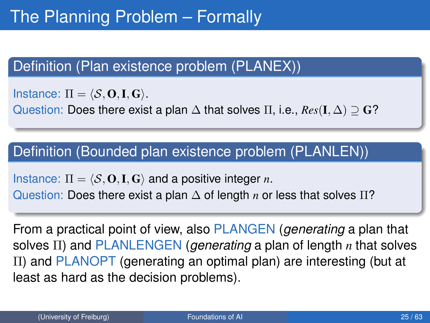### <span id="page-24-0"></span>Definition (Plan existence problem (PLANEX))

Instance:  $\Pi = \langle S, \mathbf{O}, \mathbf{I}, \mathbf{G} \rangle$ .

Question: Does there exist a plan ∆ that solves Π, i.e., *Res*(I, ∆) ⊇ G?

### Definition (Bounded plan existence problem (PLANLEN))

Instance:  $\Pi = \langle S, \mathbf{O}, \mathbf{I}, \mathbf{G} \rangle$  and a positive integer *n*.

Question: Does there exist a plan ∆ of length *n* or less that solves Π?

From a practical point of view, also PLANGEN (*generating* a plan that solves Π) and PLANLENGEN (*generating* a plan of length *n* that solves Π) and PLANOPT (generating an optimal plan) are interesting (but at least as hard as the decision problems).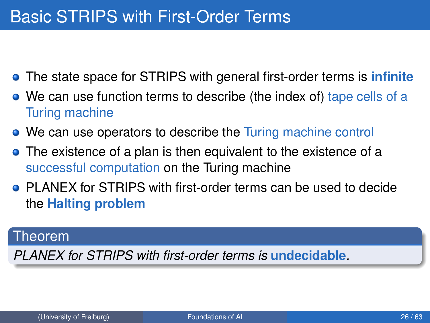### Basic STRIPS with First-Order Terms

- The state space for STRIPS with general first-order terms is **infinite**
- We can use function terms to describe (the index of) tape cells of a Turing machine
- We can use operators to describe the Turing machine control
- The existence of a plan is then equivalent to the existence of a successful computation on the Turing machine
- PLANEX for STRIPS with first-order terms can be used to decide the **Halting problem**

#### Theorem

*PLANEX for STRIPS with first-order terms is* **undecidable***.*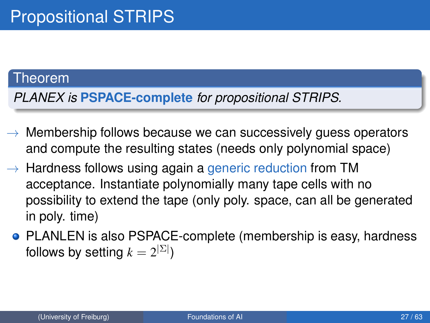#### Theorem

*PLANEX is* **PSPACE-complete** *for propositional STRIPS.*

- $\rightarrow$  Membership follows because we can successively guess operators and compute the resulting states (needs only polynomial space)
- $\rightarrow$  Hardness follows using again a generic reduction from TM acceptance. Instantiate polynomially many tape cells with no possibility to extend the tape (only poly. space, can all be generated in poly. time)
	- **PLANLEN** is also PSPACE-complete (membership is easy, hardness follows by setting  $k=2^{|\Sigma|})$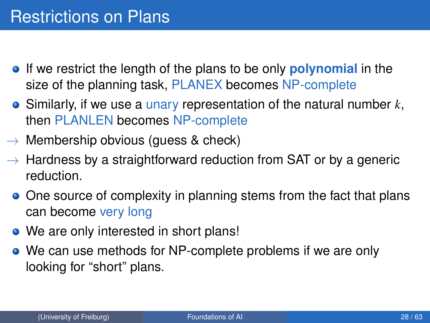- If we restrict the length of the plans to be only **polynomial** in the size of the planning task, PLANEX becomes NP-complete
- Similarly, if we use a unary representation of the natural number *k*, then PLANLEN becomes NP-complete
- $\rightarrow$  Membership obvious (quess & check)
- $\rightarrow$  Hardness by a straightforward reduction from SAT or by a generic reduction.
	- One source of complexity in planning stems from the fact that plans can become very long
	- We are only interested in short plans!
	- We can use methods for NP-complete problems if we are only looking for "short" plans.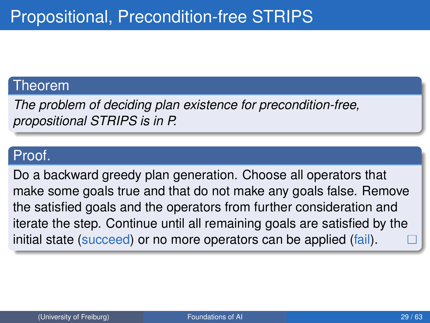#### Theorem

*The problem of deciding plan existence for precondition-free, propositional STRIPS is in P.*

### Proof.

Do a backward greedy plan generation. Choose all operators that make some goals true and that do not make any goals false. Remove the satisfied goals and the operators from further consideration and iterate the step. Continue until all remaining goals are satisfied by the initial state (succeed) or no more operators can be applied (fail).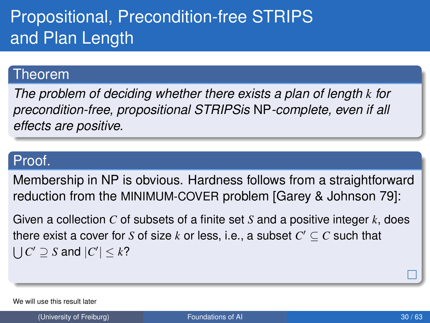# Propositional, Precondition-free STRIPS and Plan Length

#### Theorem

*The problem of deciding whether there exists a plan of length k for precondition-free, propositional STRIPSis* NP*-complete, even if all effects are positive.*

### Proof.

Membership in NP is obvious. Hardness follows from a straightforward reduction from the MINIMUM-COVER problem [Garey & Johnson 79]:

Given a collection *C* of subsets of a finite set *S* and a positive integer *k*, does there exist a cover for *S* of size  $k$  or less, i.e., a subset  $C' \subseteq C$  such that  $\bigcup C' \supseteq S$  and  $|C'| \leq k$ ?

We will use this result later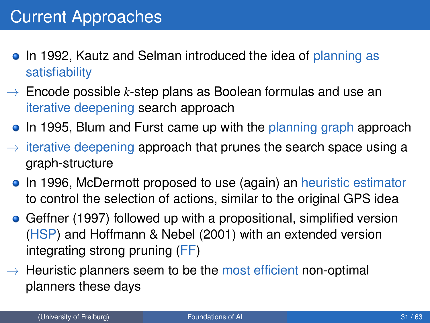- <span id="page-30-0"></span>• In 1992, Kautz and Selman introduced the idea of planning as satisfiability
- $\rightarrow$  Encode possible *k*-step plans as Boolean formulas and use an iterative deepening search approach
	- In 1995, Blum and Furst came up with the planning graph approach
- $\rightarrow$  iterative deepening approach that prunes the search space using a graph-structure
	- In 1996, McDermott proposed to use (again) an heuristic estimator to control the selection of actions, similar to the original GPS idea
	- Geffner (1997) followed up with a propositional, simplified version (HSP) and Hoffmann & Nebel (2001) with an extended version integrating strong pruning (FF)
- $\rightarrow$  Heuristic planners seem to be the most efficient non-optimal planners these days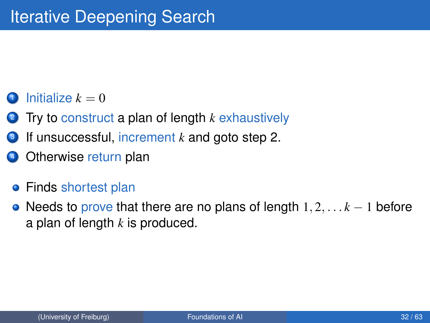### $In itialize  $k = 0$$

- <sup>2</sup> Try to construct a plan of length *k* exhaustively
- <sup>3</sup> If unsuccessful, increment *k* and goto step 2.
- Otherwise return plan
- **•** Finds shortest plan
- Needs to prove that there are no plans of length 1, 2, . . . *k* − 1 before a plan of length *k* is produced.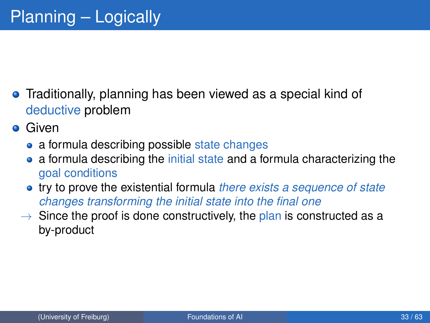- **•** Traditionally, planning has been viewed as a special kind of deductive problem
- **•** Given
	- a formula describing possible state changes
	- a formula describing the initial state and a formula characterizing the goal conditions
	- try to prove the existential formula *there exists a sequence of state changes transforming the initial state into the final one*
	- $\rightarrow$  Since the proof is done constructively, the plan is constructed as a by-product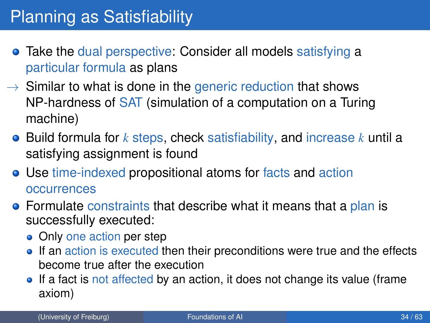- Take the dual perspective: Consider all models satisfying a particular formula as plans
- $\rightarrow$  Similar to what is done in the generic reduction that shows NP-hardness of SAT (simulation of a computation on a Turing machine)
	- Build formula for *k* steps, check satisfiability, and increase *k* until a satisfying assignment is found
	- Use time-indexed propositional atoms for facts and action occurrences
	- **•** Formulate constraints that describe what it means that a plan is successfully executed:
		- Only one action per step
		- If an action is executed then their preconditions were true and the effects become true after the execution
		- If a fact is not affected by an action, it does not change its value (frame axiom)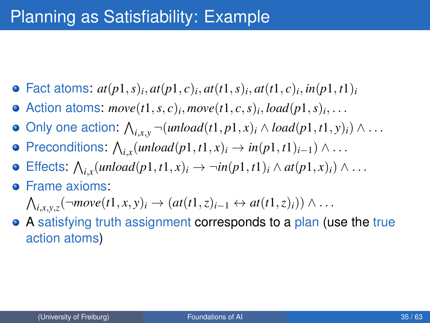## Planning as Satisfiability: Example

- Fact atoms:  $at(p1, s)$ *i*,  $at(p1, c)$ *i*,  $at(t1, s)$ *i*,  $at(t1, c)$ *i*,  $in(p1, t1)$ *i*
- Action atoms:  $move(t1, s, c)_i, move(t1, c, s)_i, load(p1, s)_i, \ldots$
- Only one action:  $\bigwedge_{i,x,y}\neg(unload(t1,p1,x)_i \wedge load(p1,t1,y)_i) \wedge \dots$
- Preconditions:  $\bigwedge_{i,x} (\text{unload}(p1, t1, x)_i \rightarrow \text{in}(p1, t1)_{i-1}) \wedge \dots$
- Effects:  $\bigwedge_{i,x} (\text{unload}(p1, t1, x)_i \rightarrow \neg \text{in}(p1, t1)_i \land \text{at}(p1, x)_i) \land \dots$
- **•** Frame axioms:
	- $\bigwedge_{i,x,y,z}(\neg move(t1,x,y)_i \rightarrow (at(t1,z)_{i-1} \leftrightarrow at(t1,z)_i)) \land \dots$
- A satisfying truth assignment corresponds to a plan (use the true action atoms)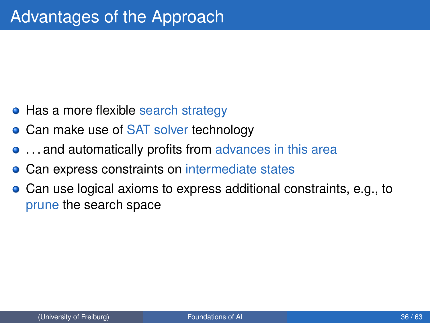- Has a more flexible search strategy
- Can make use of SAT solver technology
- **...** and automatically profits from advances in this area
- Can express constraints on intermediate states
- Can use logical axioms to express additional constraints, e.g., to prune the search space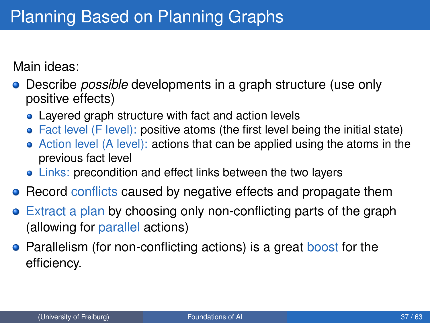Main ideas:

- Describe *possible* developments in a graph structure (use only positive effects)
	- Layered graph structure with fact and action levels
	- Fact level (F level): positive atoms (the first level being the initial state)
	- Action level (A level): actions that can be applied using the atoms in the previous fact level
	- Links: precondition and effect links between the two layers
- Record conflicts caused by negative effects and propagate them
- Extract a plan by choosing only non-conflicting parts of the graph (allowing for parallel actions)
- **•** Parallelism (for non-conflicting actions) is a great boost for the efficiency.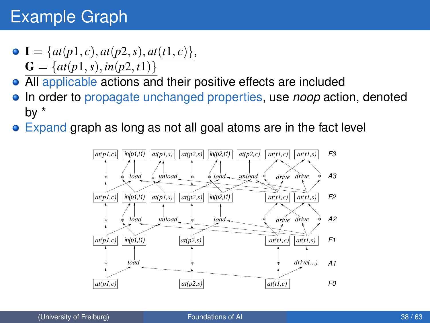## Example Graph

- $\bullet$  **I** = { $at(p1, c)$ ,  $at(p2, s)$ ,  $at(t1, c)$ },  $\overline{\mathbf{G}} = \{at(p1, s), in(p2, t1)\}\$
- All applicable actions and their positive effects are included
- In order to propagate unchanged properties, use *noop* action, denoted by \*
- **Expand graph as long as not all goal atoms are in the fact level**

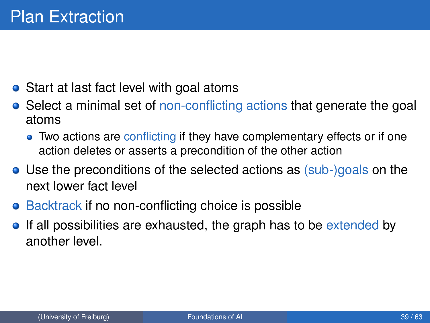- Start at last fact level with goal atoms
- Select a minimal set of non-conflicting actions that generate the goal atoms
	- Two actions are conflicting if they have complementary effects or if one action deletes or asserts a precondition of the other action
- Use the preconditions of the selected actions as (sub-)goals on the next lower fact level
- Backtrack if no non-conflicting choice is possible
- If all possibilities are exhausted, the graph has to be extended by another level.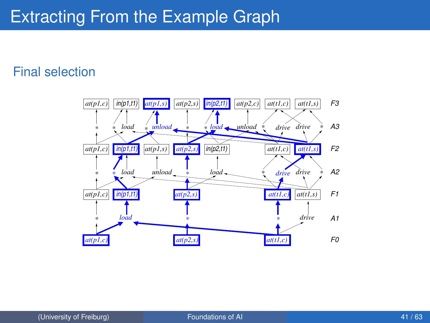### Extracting From the Example Graph

#### Final selection

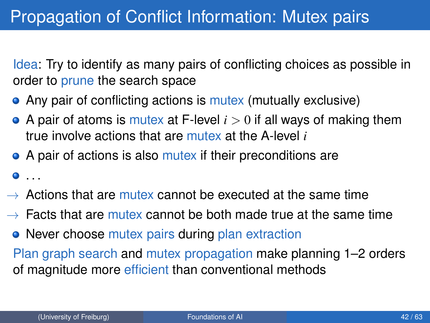Idea: Try to identify as many pairs of conflicting choices as possible in order to prune the search space

- Any pair of conflicting actions is mutex (mutually exclusive)
- $\bullet$  A pair of atoms is mutex at F-level  $i > 0$  if all ways of making them true involve actions that are mutex at the A-level *i*
- A pair of actions is also mutex if their preconditions are
- $\bullet$  . . .
- $\rightarrow$  Actions that are mutex cannot be executed at the same time
- $\rightarrow$  Facts that are mutex cannot be both made true at the same time
	- Never choose mutex pairs during plan extraction

Plan graph search and mutex propagation make planning 1–2 orders of magnitude more efficient than conventional methods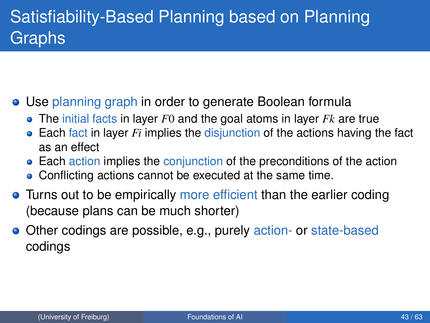# Satisfiability-Based Planning based on Planning Graphs

- Use planning graph in order to generate Boolean formula
	- The initial facts in layer *F*0 and the goal atoms in layer *Fk* are true
	- Each fact in layer *Fi* implies the disjunction of the actions having the fact as an effect
	- Each action implies the conjunction of the preconditions of the action
	- Conflicting actions cannot be executed at the same time.
- Turns out to be empirically more efficient than the earlier coding (because plans can be much shorter)
- Other codings are possible, e.g., purely action- or state-based codings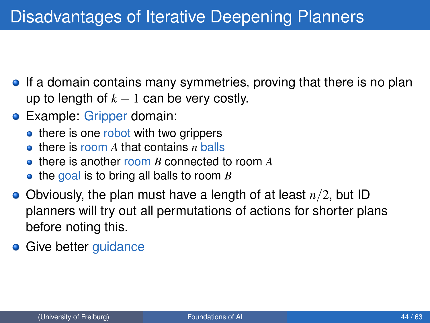- **•** If a domain contains many symmetries, proving that there is no plan up to length of  $k - 1$  can be very costly.
- **•** Example: Gripper domain:
	- there is one robot with two grippers
	- there is room *A* that contains *n* balls
	- there is another room *B* connected to room *A*
	- **•** the goal is to bring all balls to room *B*
- Obviously, the plan must have a length of at least *n*/2, but ID planners will try out all permutations of actions for shorter plans before noting this.
- Give better guidance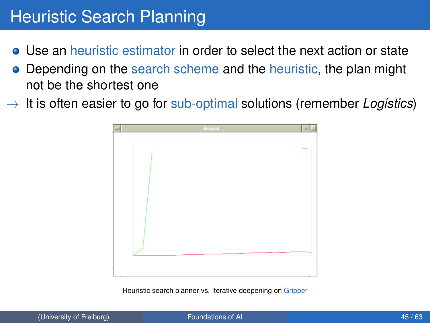## Heuristic Search Planning

- Use an heuristic estimator in order to select the next action or state
- Depending on the search scheme and the heuristic, the plan might not be the shortest one
- $\rightarrow$  It is often easier to go for sub-optimal solutions (remember *Logistics*)



Heuristic search planner vs. iterative deepening on Gripper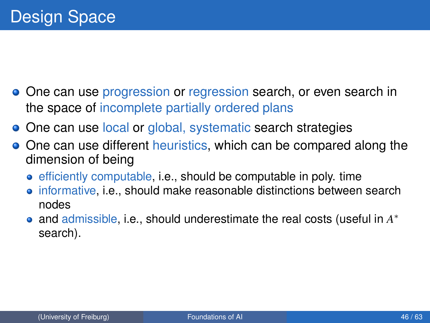- **•** One can use progression or regression search, or even search in the space of incomplete partially ordered plans
- One can use local or global, systematic search strategies
- **•** One can use different heuristics, which can be compared along the dimension of being
	- **e** efficiently computable, i.e., should be computable in poly. time
	- informative, i.e., should make reasonable distinctions between search nodes
	- and admissible, i.e., should underestimate the real costs (useful in *A* ∗ search).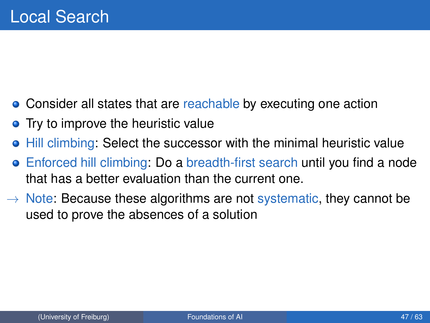- Consider all states that are reachable by executing one action
- Try to improve the heuristic value
- $\bullet$  Hill climbing: Select the successor with the minimal heuristic value
- Enforced hill climbing: Do a breadth-first search until you find a node that has a better evaluation than the current one.
- $\rightarrow$  Note: Because these algorithms are not systematic, they cannot be used to prove the absences of a solution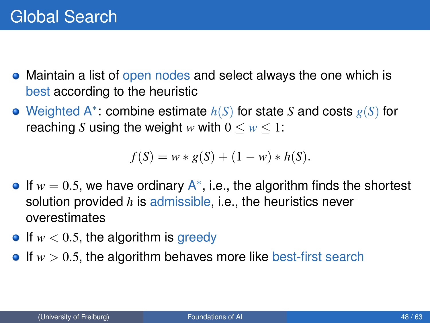- Maintain a list of open nodes and select always the one which is best according to the heuristic
- Weighted A<sup>∗</sup> : combine estimate *h*(*S*) for state *S* and costs *g*(*S*) for reaching *S* using the weight *w* with  $0 \leq w \leq 1$ :

$$
f(S) = w * g(S) + (1 - w) * h(S).
$$

- If  $w = 0.5$ , we have ordinary  $A^*$ , i.e., the algorithm finds the shortest solution provided *h* is admissible, i.e., the heuristics never overestimates
- $\bullet$  If  $w < 0.5$ , the algorithm is greedy
- $\bullet$  If  $w > 0.5$ , the algorithm behaves more like best-first search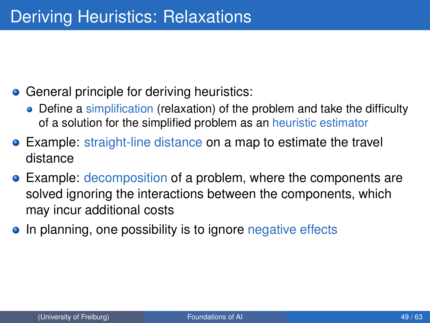- General principle for deriving heuristics:
	- Define a simplification (relaxation) of the problem and take the difficulty of a solution for the simplified problem as an heuristic estimator
- Example: straight-line distance on a map to estimate the travel distance
- **Example: decomposition of a problem, where the components are** solved ignoring the interactions between the components, which may incur additional costs
- In planning, one possibility is to ignore negative effects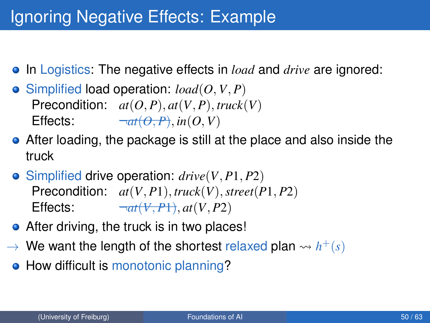## Ignoring Negative Effects: Example

- **In Logistics:** The negative effects in *load* and *drive* are ignored:
- $\bullet$  Simplified load operation:  $load(O, V, P)$ Precondition:  $at(O, P), at(V, P), \text{truck}(V)$ Effects:  $\neg at(\theta, P), in(0, V)$
- After loading, the package is still at the place and also inside the truck
- Simplified drive operation: *drive*(*V*, *P*1, *P*2) Precondition: *at*(*V*, *P*1), *truck*(*V*),*street*(*P*1, *P*2) Effects:  $\qquad \qquad \neg at(V, P1), at(V, P2)$
- After driving, the truck is in two places!
- $\rightarrow$  We want the length of the shortest relaxed plan  $\rightarrow$   $h^+(s)$
- How difficult is monotonic planning?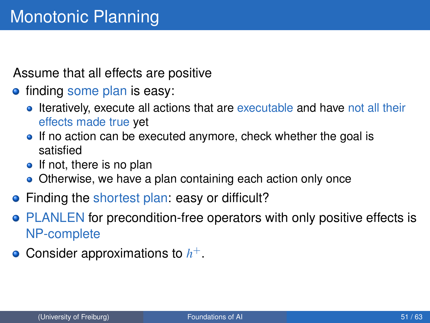Assume that all effects are positive

- **•** finding some plan is easy:
	- Iteratively, execute all actions that are executable and have not all their effects made true yet
	- If no action can be executed anymore, check whether the goal is satisfied
	- $\bullet$  If not, there is no plan
	- Otherwise, we have a plan containing each action only once
- Finding the shortest plan: easy or difficult?
- PLANLEN for precondition-free operators with only positive effects is NP-complete
- Consider approximations to *h* +.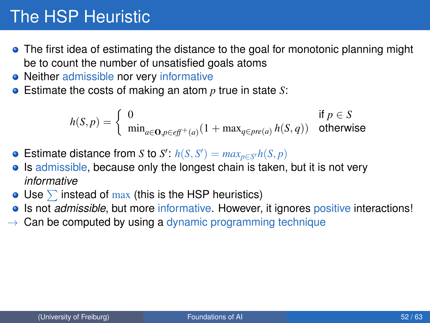## The HSP Heuristic

- The first idea of estimating the distance to the goal for monotonic planning might be to count the number of unsatisfied goals atoms
- Neither admissible nor very informative
- Estimate the costs of making an atom *p* true in state *S*:

$$
h(S,p) = \left\{ \begin{array}{ll} 0 & \text{if } p \in S \\ \min_{a \in \mathbf{O}, p \in \text{eff}^+(a)} (1 + \max_{q \in \text{pre}(a)} h(S,q)) & \text{otherwise} \end{array} \right.
$$

- Estimate distance from *S* to *S'*:  $h(S, S') = max_{p \in S'} h(S, p)$
- Is admissible, because only the longest chain is taken, but it is not very *informative*
- Use  $\sum$  instead of max (this is the HSP heuristics)
- **IS not** *admissible*, but more informative. However, it ignores positive interactions!
- $\rightarrow$  Can be computed by using a dynamic programming technique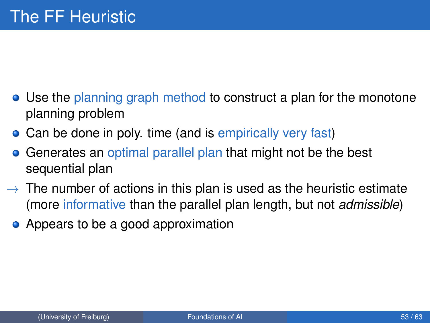- Use the planning graph method to construct a plan for the monotone planning problem
- Can be done in poly. time (and is empirically very fast)
- Generates an optimal parallel plan that might not be the best  $\bullet$ sequential plan
- $\rightarrow$  The number of actions in this plan is used as the heuristic estimate (more informative than the parallel plan length, but not *admissible*)
	- Appears to be a good approximation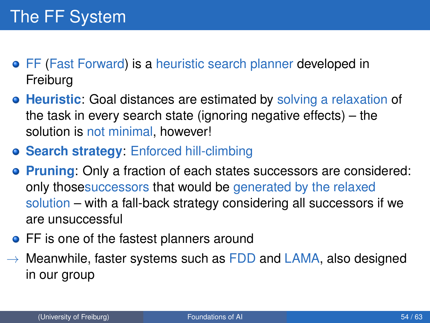- FF (Fast Forward) is a heuristic search planner developed in Freiburg
- **Heuristic**: Goal distances are estimated by solving a relaxation of the task in every search state (ignoring negative effects) – the solution is not minimal, however!
- **Search strategy**: Enforced hill-climbing
- **Pruning**: Only a fraction of each states successors are considered: only thosesuccessors that would be generated by the relaxed solution – with a fall-back strategy considering all successors if we are unsuccessful
- FF is one of the fastest planners around
- $\rightarrow$  Meanwhile, faster systems such as FDD and LAMA, also designed in our group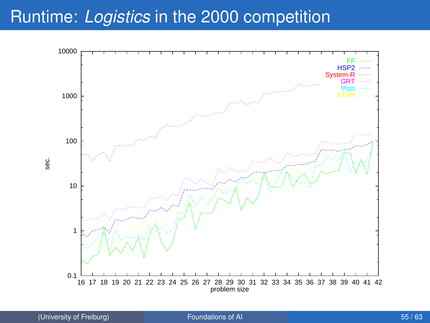### Runtime: *Logistics* in the 2000 competition

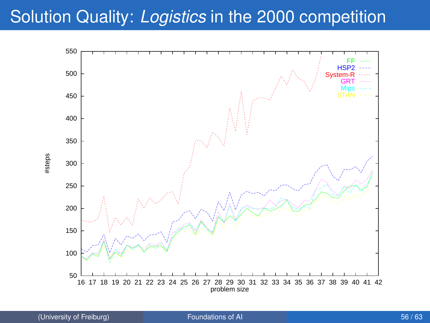### Solution Quality: *Logistics* in the 2000 competition

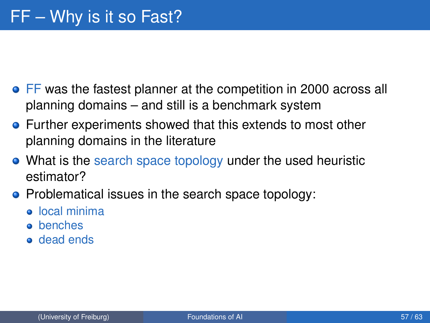- **•** FF was the fastest planner at the competition in 2000 across all planning domains – and still is a benchmark system
- Further experiments showed that this extends to most other planning domains in the literature
- What is the search space topology under the used heuristic estimator?
- Problematical issues in the search space topology:
	- local minima
	- **o** benches
	- dead ends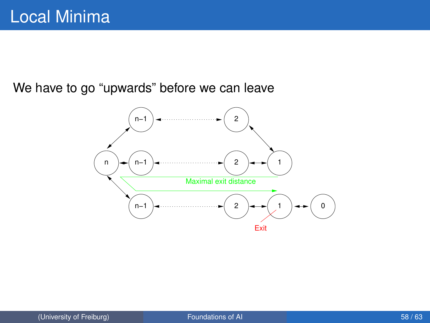We have to go "upwards" before we can leave

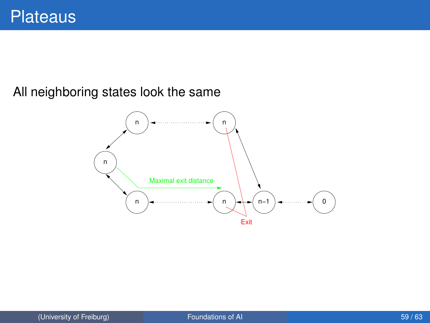#### All neighboring states look the same

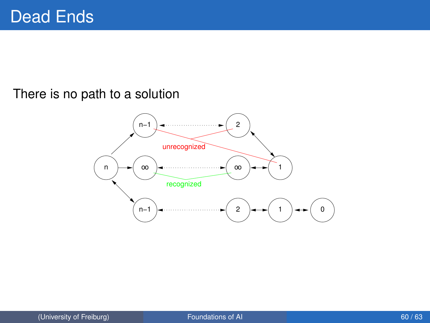#### There is no path to a solution

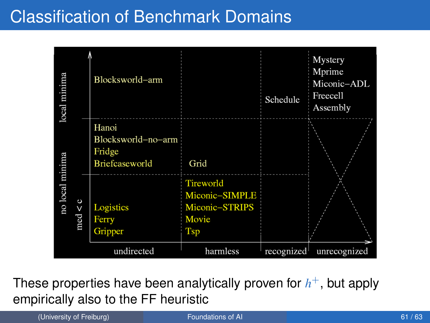### Classification of Benchmark Domains



These properties have been analytically proven for *h* <sup>+</sup>, but apply empirically also to the FF heuristic

(University of Freiburg) **[Foundations of AI](#page-0-0)** 61/63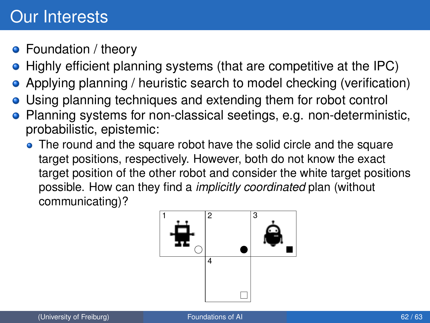### Our Interests

- Foundation / theory
- Highly efficient planning systems (that are competitive at the IPC)
- Applying planning / heuristic search to model checking (verification)
- Using planning techniques and extending them for robot control
- Planning systems for non-classical seetings, e.g. non-deterministic, probabilistic, epistemic:
	- The round and the square robot have the solid circle and the square target positions, respectively. However, both do not know the exact target position of the other robot and consider the white target positions possible. How can they find a *implicitly coordinated* plan (without communicating)?